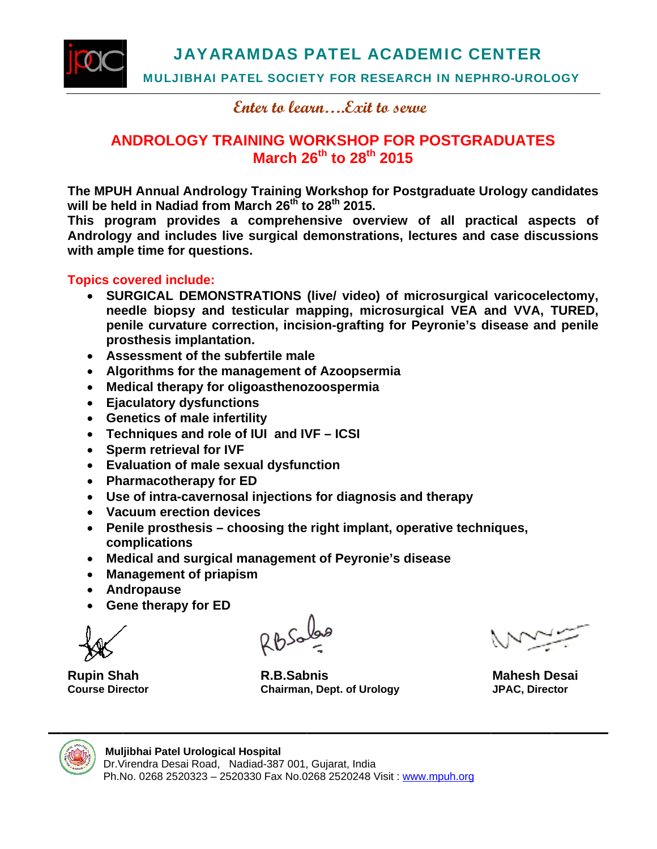



**MULJIBHAI PATEL SOCIETY FOR RESEARCH IN NEPHRO-UROLOGY** 

Enter to learn....Exit to serve

#### **ANDROLOGY TRAINING WORKSHOP FOR POSTGRADUATES** March 26<sup>th</sup> to 28<sup>th</sup> 2015

The MPUH Annual Andrology Training Workshop for Postgraduate Urology candidates will be held in Nadiad from March 26<sup>th</sup> to 28<sup>th</sup> 2015.

This program provides a comprehensive overview of all practical aspects of Andrology and includes live surgical demonstrations, lectures and case discussions with ample time for questions.

#### **Topics covered include:**

- SURGICAL DEMONSTRATIONS (live/ video) of microsurgical varicocelectomy, needle biopsy and testicular mapping, microsurgical VEA and VVA, TURED, penile curvature correction, incision-grafting for Peyronie's disease and penile prosthesis implantation.
- Assessment of the subfertile male
- Algorithms for the management of Azoopsermia
- Medical therapy for oligoasthenozoospermia
- Ejaculatory dysfunctions
- Genetics of male infertility
- Techniques and role of IUI and IVF ICSI
- Sperm retrieval for IVF  $\bullet$
- Evaluation of male sexual dysfunction
- Pharmacotherapy for ED
- Use of intra-cavernosal injections for diagnosis and therapy
- Vacuum erection devices
- Penile prosthesis choosing the right implant, operative techniques, complications
- Medical and surgical management of Peyronie's disease  $\bullet$
- **Management of priapism**
- Andropause
- **Gene therapy for ED**

**Rupin Shah Course Director** 

R.B.Sabnis **Chairman, Dept. of Urology** 

**Mahesh Desai JPAC, Director** 



#### Muljibhai Patel Urological Hospital

Dr. Virendra Desai Road, Nadiad-387 001, Gujarat, India Ph.No. 0268 2520323 - 2520330 Fax No.0268 2520248 Visit: www.mpuh.org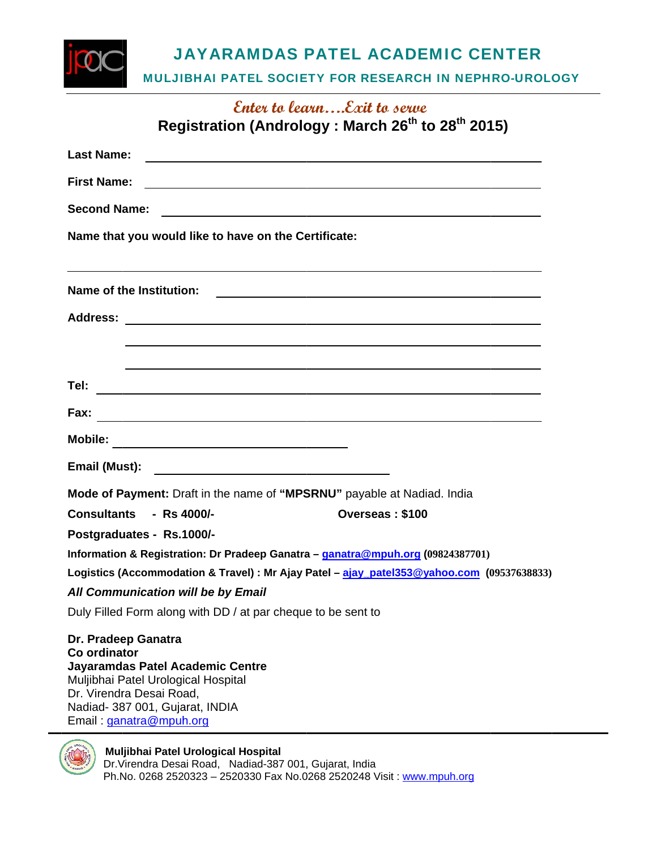**JAYARAMDAS PATEL ACADEMIC CENTER** 

MULJIBHAI PATEL SOCIETY FOR RESEARCH IN NEPHRO-UROLOGY

| Enter to learnExit to serve                                                                                                                                                                              |
|----------------------------------------------------------------------------------------------------------------------------------------------------------------------------------------------------------|
| Registration (Andrology: March 26 <sup>th</sup> to 28 <sup>th</sup> 2015)                                                                                                                                |
| <b>Last Name:</b><br><u> 1980 - Johann John Stone, mars and de film and de film and de film and de film and de film and de film and d</u>                                                                |
| <b>First Name:</b><br><u> 1989 - Johann Harry Harry Harry Harry Harry Harry Harry Harry Harry Harry Harry Harry Harry Harry Harry Harry</u>                                                              |
| <b>Second Name:</b><br><u> 1980 - Johann John Stein, mars an deutscher Stein und der Stein und der Stein und der Stein und der Stein und</u>                                                             |
| Name that you would like to have on the Certificate:                                                                                                                                                     |
| ,我们也不会有什么。""我们的人,我们也不会有什么?""我们的人,我们也不会有什么?""我们的人,我们也不会有什么?""我们的人,我们也不会有什么?""我们的人                                                                                                                         |
|                                                                                                                                                                                                          |
| <u> 1990 - Jan Samuel II, martin de la contrada de la contrada de la contrada de la contrada de la contrada de la</u>                                                                                    |
|                                                                                                                                                                                                          |
| Fax:<br><u> 1989 - Johann Stoff, amerikansk politiker (* 1908)</u>                                                                                                                                       |
|                                                                                                                                                                                                          |
|                                                                                                                                                                                                          |
| Mode of Payment: Draft in the name of "MPSRNU" payable at Nadiad. India                                                                                                                                  |
| Consultants - Rs 4000/-<br>Overseas: \$100                                                                                                                                                               |
| Postgraduates - Rs.1000/-                                                                                                                                                                                |
| Information & Registration: Dr Pradeep Ganatra - ganatra@mpuh.org (09824387701)                                                                                                                          |
| Logistics (Accommodation & Travel) : Mr Ajay Patel - ajay_patel353@yahoo.com (09537638833)                                                                                                               |
| All Communication will be by Email                                                                                                                                                                       |
| Duly Filled Form along with DD / at par cheque to be sent to                                                                                                                                             |
| Dr. Pradeep Ganatra<br>Co ordinator<br>Jayaramdas Patel Academic Centre<br>Muljibhai Patel Urological Hospital<br>Dr. Virendra Desai Road,<br>Nadiad- 387 001, Gujarat, INDIA<br>Email: ganatra@mpuh.org |



**Muljibhai Patel Urological Hospital**<br>Dr.Virendra Desai Road, Nadiad-387 001, Gujarat, India<br>Ph.No. 0268 2520323 – 2520330 Fax No.0268 2520248 Visit : <u>www.mpuh.org</u>